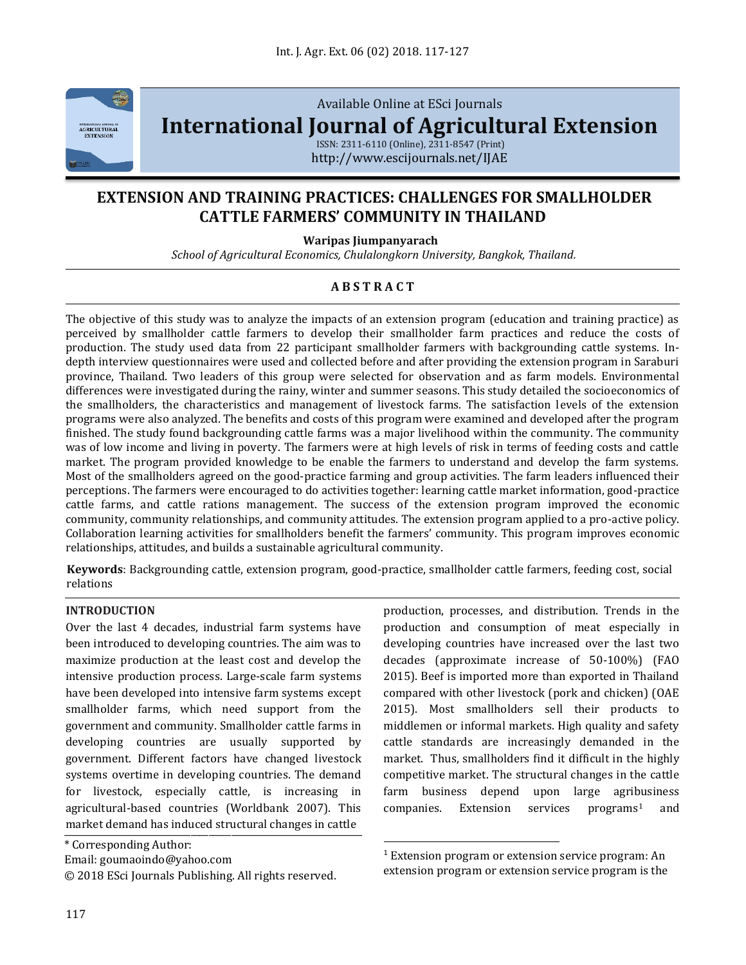

Available Online at ESci Journals

**[International Journal of Agricultural Extension](http://www.escijournals.net/IJER)**

ISSN: 2311-6110 (Online), 2311-8547 (Print) http://www.escijournals.net/IJAE

# **EXTENSION AND TRAINING PRACTICES: CHALLENGES FOR SMALLHOLDER CATTLE FARMERS' COMMUNITY IN THAILAND**

**Waripas Jiumpanyarach**

*School of Agricultural Economics, Chulalongkorn University, Bangkok, Thailand.*

## **A B S T R A C T**

The objective of this study was to analyze the impacts of an extension program (education and training practice) as perceived by smallholder cattle farmers to develop their smallholder farm practices and reduce the costs of production. The study used data from 22 participant smallholder farmers with backgrounding cattle systems. Indepth interview questionnaires were used and collected before and after providing the extension program in Saraburi province, Thailand. Two leaders of this group were selected for observation and as farm models. Environmental differences were investigated during the rainy, winter and summer seasons. This study detailed the socioeconomics of the smallholders, the characteristics and management of livestock farms. The satisfaction levels of the extension programs were also analyzed. The benefits and costs of this program were examined and developed after the program finished. The study found backgrounding cattle farms was a major livelihood within the community. The community was of low income and living in poverty. The farmers were at high levels of risk in terms of feeding costs and cattle market. The program provided knowledge to be enable the farmers to understand and develop the farm systems. Most of the smallholders agreed on the good-practice farming and group activities. The farm leaders influenced their perceptions. The farmers were encouraged to do activities together: learning cattle market information, good-practice cattle farms, and cattle rations management. The success of the extension program improved the economic community, community relationships, and community attitudes. The extension program applied to a pro-active policy. Collaboration learning activities for smallholders benefit the farmers' community. This program improves economic relationships, attitudes, and builds a sustainable agricultural community.

**Keywords**: Backgrounding cattle, extension program, good-practice, smallholder cattle farmers, feeding cost, social relations

 $\overline{\phantom{a}}$ 

### **INTRODUCTION**

Over the last 4 decades, industrial farm systems have been introduced to developing countries. The aim was to maximize production at the least cost and develop the intensive production process. Large-scale farm systems have been developed into intensive farm systems except smallholder farms, which need support from the government and community. Smallholder cattle farms in developing countries are usually supported by government. Different factors have changed livestock systems overtime in developing countries. The demand for livestock, especially cattle, is increasing in agricultural-based countries (Worldbank 2007). This market demand has induced structural changes in cattle

© 2018 ESci Journals Publishing. All rights reserved.

production, processes, and distribution. Trends in the production and consumption of meat especially in developing countries have increased over the last two decades (approximate increase of 50-100%) (FAO 2015). Beef is imported more than exported in Thailand compared with other livestock (pork and chicken) (OAE 2015). Most smallholders sell their products to middlemen or informal markets. High quality and safety cattle standards are increasingly demanded in the market. Thus, smallholders find it difficult in the highly competitive market. The structural changes in the cattle farm business depend upon large agribusiness  $companies.$  Extension services programs<sup>1</sup> and

<sup>\*</sup> Corresponding Author:

Email: goumaoindo@yahoo.com

<sup>&</sup>lt;sup>1</sup> Extension program or extension service program: An extension program or extension service program is the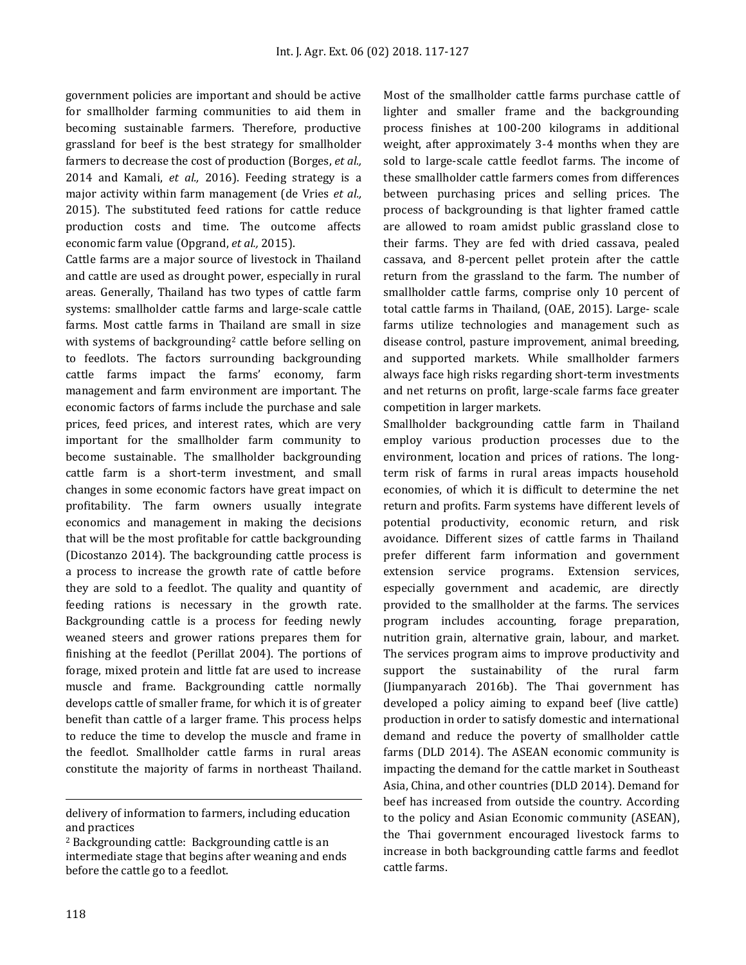government policies are important and should be active for smallholder farming communities to aid them in becoming sustainable farmers. Therefore, productive grassland for beef is the best strategy for smallholder farmers to decrease the cost of production (Borges, *et al.,* 2014 and Kamali, *et al.,* 2016). Feeding strategy is a major activity within farm management (de Vries *et al.,* 2015). The substituted feed rations for cattle reduce production costs and time. The outcome affects economic farm value (Opgrand, *et al.,* 2015).

Cattle farms are a major source of livestock in Thailand and cattle are used as drought power, especially in rural areas. Generally, Thailand has two types of cattle farm systems: smallholder cattle farms and large-scale cattle farms. Most cattle farms in Thailand are small in size with systems of backgrounding<sup>2</sup> cattle before selling on to feedlots. The factors surrounding backgrounding cattle farms impact the farms' economy, farm management and farm environment are important. The economic factors of farms include the purchase and sale prices, feed prices, and interest rates, which are very important for the smallholder farm community to become sustainable. The smallholder backgrounding cattle farm is a short-term investment, and small changes in some economic factors have great impact on profitability. The farm owners usually integrate economics and management in making the decisions that will be the most profitable for cattle backgrounding (Dicostanzo 2014). The backgrounding cattle process is a process to increase the growth rate of cattle before they are sold to a feedlot. The quality and quantity of feeding rations is necessary in the growth rate. Backgrounding cattle is a process for feeding newly weaned steers and grower rations prepares them for finishing at the feedlot (Perillat 2004). The portions of forage, mixed protein and little fat are used to increase muscle and frame. Backgrounding cattle normally develops cattle of smaller frame, for which it is of greater benefit than cattle of a larger frame. This process helps to reduce the time to develop the muscle and frame in the feedlot. Smallholder cattle farms in rural areas constitute the majority of farms in northeast Thailand.

Most of the smallholder cattle farms purchase cattle of lighter and smaller frame and the backgrounding process finishes at 100-200 kilograms in additional weight, after approximately 3-4 months when they are sold to large-scale cattle feedlot farms. The income of these smallholder cattle farmers comes from differences between purchasing prices and selling prices. The process of backgrounding is that lighter framed cattle are allowed to roam amidst public grassland close to their farms. They are fed with dried cassava, pealed cassava, and 8-percent pellet protein after the cattle return from the grassland to the farm. The number of smallholder cattle farms, comprise only 10 percent of total cattle farms in Thailand, (OAE, 2015). Large- scale farms utilize technologies and management such as disease control, pasture improvement, animal breeding, and supported markets. While smallholder farmers always face high risks regarding short-term investments and net returns on profit, large-scale farms face greater competition in larger markets.

Smallholder backgrounding cattle farm in Thailand employ various production processes due to the environment, location and prices of rations. The longterm risk of farms in rural areas impacts household economies, of which it is difficult to determine the net return and profits. Farm systems have different levels of potential productivity, economic return, and risk avoidance. Different sizes of cattle farms in Thailand prefer different farm information and government extension service programs. Extension services, especially government and academic, are directly provided to the smallholder at the farms. The services program includes accounting, forage preparation, nutrition grain, alternative grain, labour, and market. The services program aims to improve productivity and support the sustainability of the rural farm (Jiumpanyarach 2016b). The Thai government has developed a policy aiming to expand beef (live cattle) production in order to satisfy domestic and international demand and reduce the poverty of smallholder cattle farms (DLD 2014). The ASEAN economic community is impacting the demand for the cattle market in Southeast Asia, China, and other countries (DLD 2014). Demand for beef has increased from outside the country. According to the policy and Asian Economic community (ASEAN), the Thai government encouraged livestock farms to increase in both backgrounding cattle farms and feedlot cattle farms.

 $\overline{\phantom{a}}$ 

delivery of information to farmers, including education and practices

<sup>2</sup> Backgrounding cattle: Backgrounding cattle is an intermediate stage that begins after weaning and ends before the cattle go to a feedlot.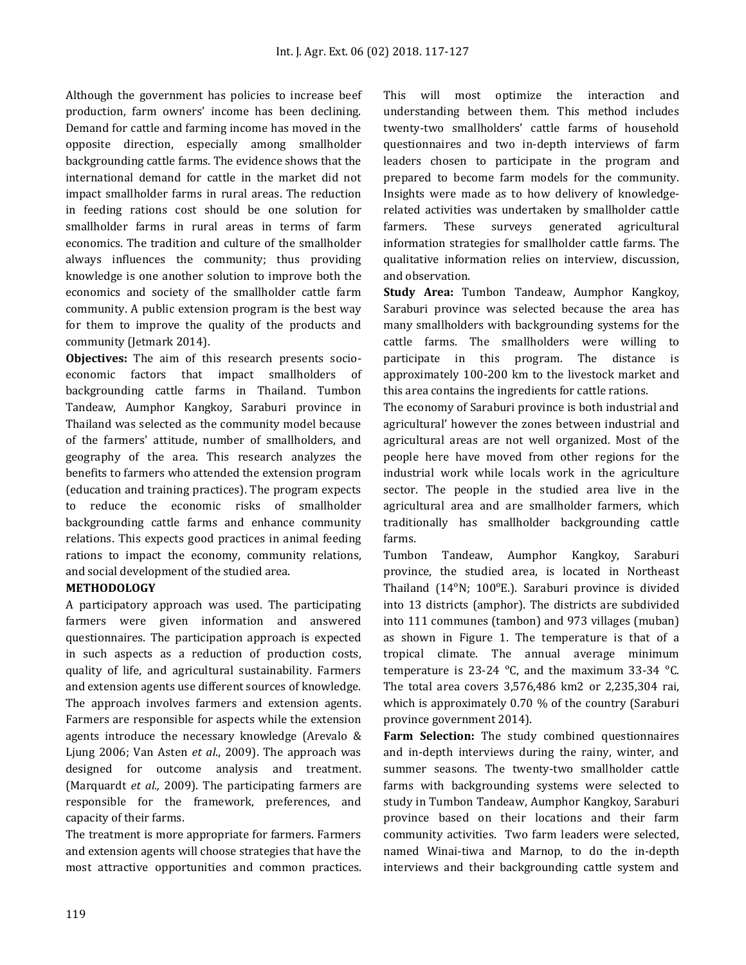Although the government has policies to increase beef production, farm owners' income has been declining. Demand for cattle and farming income has moved in the opposite direction, especially among smallholder backgrounding cattle farms. The evidence shows that the international demand for cattle in the market did not impact smallholder farms in rural areas. The reduction in feeding rations cost should be one solution for smallholder farms in rural areas in terms of farm economics. The tradition and culture of the smallholder always influences the community; thus providing knowledge is one another solution to improve both the economics and society of the smallholder cattle farm community. A public extension program is the best way for them to improve the quality of the products and community (Jetmark 2014).

**Objectives:** The aim of this research presents socioeconomic factors that impact smallholders of backgrounding cattle farms in Thailand. Tumbon Tandeaw, Aumphor Kangkoy, Saraburi province in Thailand was selected as the community model because of the farmers' attitude, number of smallholders, and geography of the area. This research analyzes the benefits to farmers who attended the extension program (education and training practices). The program expects to reduce the economic risks of smallholder backgrounding cattle farms and enhance community relations. This expects good practices in animal feeding rations to impact the economy, community relations, and social development of the studied area.

### **METHODOLOGY**

A participatory approach was used. The participating farmers were given information and answered questionnaires. The participation approach is expected in such aspects as a reduction of production costs, quality of life, and agricultural sustainability. Farmers and extension agents use different sources of knowledge. The approach involves farmers and extension agents. Farmers are responsible for aspects while the extension agents introduce the necessary knowledge (Arevalo & Ljung 2006; Van Asten *et al*., 2009). The approach was designed for outcome analysis and treatment. (Marquardt *et al.,* 2009). The participating farmers are responsible for the framework, preferences, and capacity of their farms.

The treatment is more appropriate for farmers. Farmers and extension agents will choose strategies that have the most attractive opportunities and common practices.

This will most optimize the interaction and understanding between them. This method includes twenty-two smallholders' cattle farms of household questionnaires and two in-depth interviews of farm leaders chosen to participate in the program and prepared to become farm models for the community. Insights were made as to how delivery of knowledgerelated activities was undertaken by smallholder cattle farmers. These surveys generated agricultural information strategies for smallholder cattle farms. The qualitative information relies on interview, discussion, and observation.

**Study Area:** Tumbon Tandeaw, Aumphor Kangkoy, Saraburi province was selected because the area has many smallholders with backgrounding systems for the cattle farms. The smallholders were willing to participate in this program. The distance is approximately 100-200 km to the livestock market and this area contains the ingredients for cattle rations.

The economy of Saraburi province is both industrial and agricultural' however the zones between industrial and agricultural areas are not well organized. Most of the people here have moved from other regions for the industrial work while locals work in the agriculture sector. The people in the studied area live in the agricultural area and are smallholder farmers, which traditionally has smallholder backgrounding cattle farms.

Tumbon Tandeaw, Aumphor Kangkoy, Saraburi province, the studied area, is located in Northeast Thailand (14°N; 100°E.). Saraburi province is divided into 13 districts (amphor). The districts are subdivided into 111 communes (tambon) and 973 villages (muban) as shown in Figure 1. The temperature is that of a tropical climate. The annual average minimum temperature is  $23-24$  °C, and the maximum 33-34 °C. The total area covers 3,576,486 km2 or 2,235,304 rai, which is approximately 0.70 % of the country (Saraburi province government 2014).

**Farm Selection:** The study combined questionnaires and in-depth interviews during the rainy, winter, and summer seasons. The twenty-two smallholder cattle farms with backgrounding systems were selected to study in Tumbon Tandeaw, Aumphor Kangkoy, Saraburi province based on their locations and their farm community activities. Two farm leaders were selected, named Winai-tiwa and Marnop, to do the in-depth interviews and their backgrounding cattle system and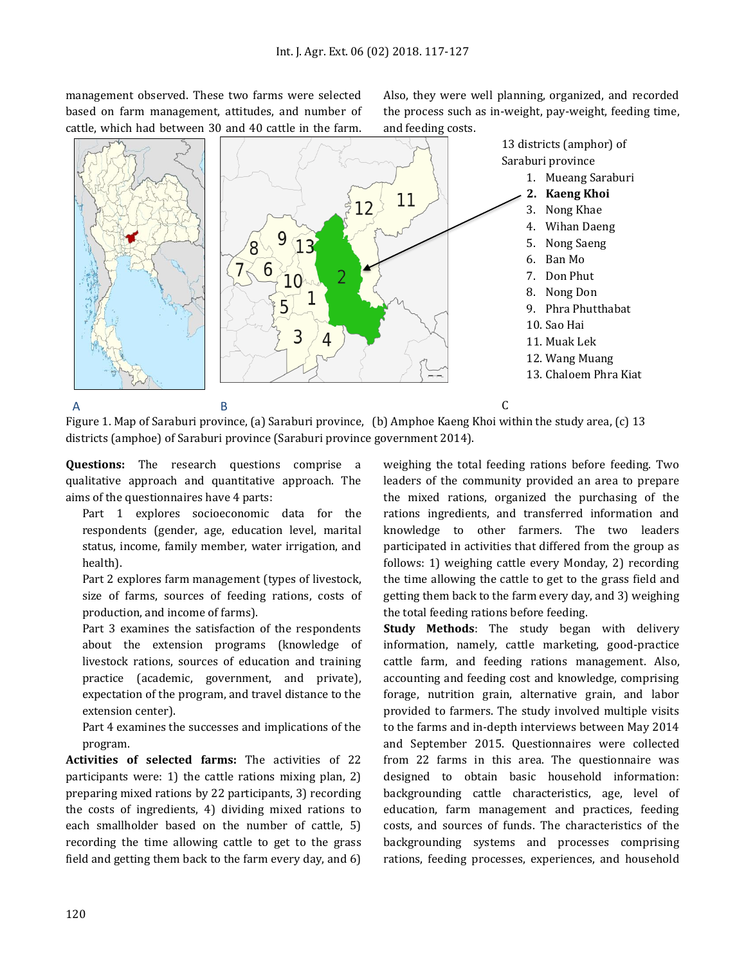management observed. These two farms were selected based on farm management, attitudes, and number of cattle, which had between 30 and 40 cattle in the farm.

Also, they were well planning, organized, and recorded the process such as in-weight, pay-weight, feeding time, and feeding costs.



Figure 1. Map of Saraburi province, (a) Saraburi province, (b) Amphoe Kaeng Khoi within the study area, (c) 13 districts (amphoe) of Saraburi province (Saraburi province government 2014).

**Questions:** The research questions comprise a qualitative approach and quantitative approach. The aims of the questionnaires have 4 parts:

Part 1 explores socioeconomic data for the respondents (gender, age, education level, marital status, income, family member, water irrigation, and health).

Part 2 explores farm management (types of livestock, size of farms, sources of feeding rations, costs of production, and income of farms).

Part 3 examines the satisfaction of the respondents about the extension programs (knowledge of livestock rations, sources of education and training practice (academic, government, and private), expectation of the program, and travel distance to the extension center).

Part 4 examines the successes and implications of the program.

**Activities of selected farms:** The activities of 22 participants were: 1) the cattle rations mixing plan, 2) preparing mixed rations by 22 participants, 3) recording the costs of ingredients, 4) dividing mixed rations to each smallholder based on the number of cattle, 5) recording the time allowing cattle to get to the grass field and getting them back to the farm every day, and 6)

weighing the total feeding rations before feeding. Two leaders of the community provided an area to prepare the mixed rations, organized the purchasing of the rations ingredients, and transferred information and knowledge to other farmers. The two leaders participated in activities that differed from the group as follows: 1) weighing cattle every Monday, 2) recording the time allowing the cattle to get to the grass field and getting them back to the farm every day, and 3) weighing the total feeding rations before feeding.

**Study Methods**: The study began with delivery information, namely, cattle marketing, good-practice cattle farm, and feeding rations management. Also, accounting and feeding cost and knowledge, comprising forage, nutrition grain, alternative grain, and labor provided to farmers. The study involved multiple visits to the farms and in-depth interviews between May 2014 and September 2015. Questionnaires were collected from 22 farms in this area. The questionnaire was designed to obtain basic household information: backgrounding cattle characteristics, age, level of education, farm management and practices, feeding costs, and sources of funds. The characteristics of the backgrounding systems and processes comprising rations, feeding processes, experiences, and household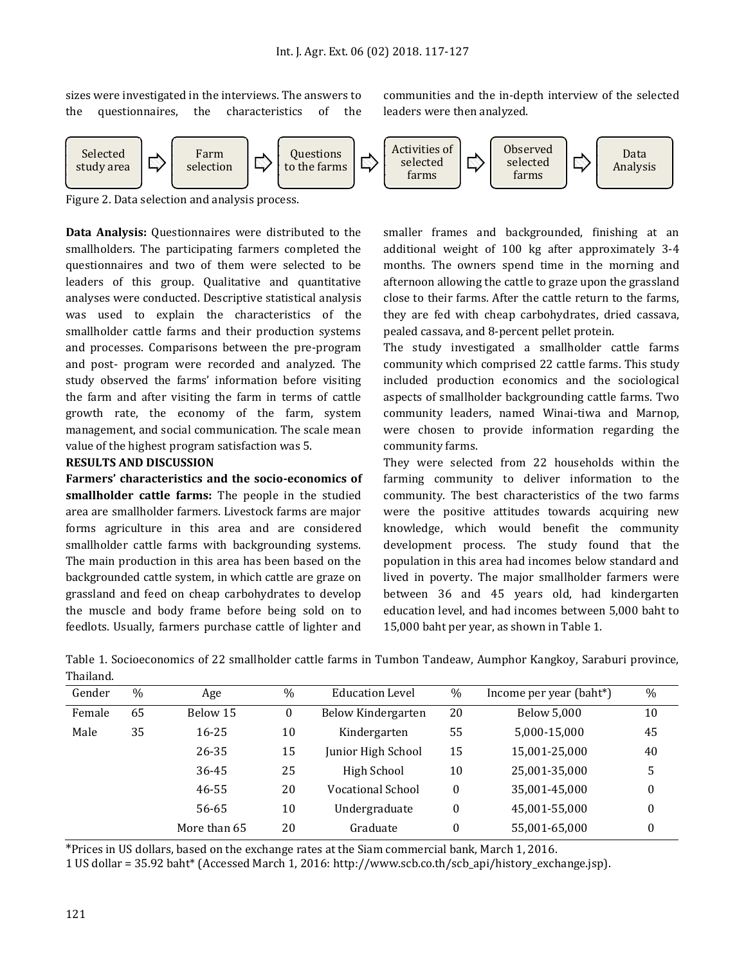sizes were investigated in the interviews. The answers to the questionnaires, the characteristics of the communities and the in-depth interview of the selected leaders were then analyzed.



Figure 2. Data selection and analysis process.

**Data Analysis:** Questionnaires were distributed to the smallholders. The participating farmers completed the questionnaires and two of them were selected to be leaders of this group. Qualitative and quantitative analyses were conducted. Descriptive statistical analysis was used to explain the characteristics of the smallholder cattle farms and their production systems and processes. Comparisons between the pre-program and post- program were recorded and analyzed. The study observed the farms' information before visiting the farm and after visiting the farm in terms of cattle growth rate, the economy of the farm, system management, and social communication. The scale mean value of the highest program satisfaction was 5.

#### **RESULTS AND DISCUSSION**

**Farmers' characteristics and the socio-economics of smallholder cattle farms:** The people in the studied area are smallholder farmers. Livestock farms are major forms agriculture in this area and are considered smallholder cattle farms with backgrounding systems. The main production in this area has been based on the backgrounded cattle system, in which cattle are graze on grassland and feed on cheap carbohydrates to develop the muscle and body frame before being sold on to feedlots. Usually, farmers purchase cattle of lighter and

smaller frames and backgrounded, finishing at an additional weight of 100 kg after approximately 3-4 months. The owners spend time in the morning and afternoon allowing the cattle to graze upon the grassland close to their farms. After the cattle return to the farms, they are fed with cheap carbohydrates, dried cassava, pealed cassava, and 8-percent pellet protein.

The study investigated a smallholder cattle farms community which comprised 22 cattle farms. This study included production economics and the sociological aspects of smallholder backgrounding cattle farms. Two community leaders, named Winai-tiwa and Marnop, were chosen to provide information regarding the community farms.

They were selected from 22 households within the farming community to deliver information to the community. The best characteristics of the two farms were the positive attitudes towards acquiring new knowledge, which would benefit the community development process. The study found that the population in this area had incomes below standard and lived in poverty. The major smallholder farmers were between 36 and 45 years old, had kindergarten education level, and had incomes between 5,000 baht to 15,000 baht per year, as shown in Table 1.

Table 1. Socioeconomics of 22 smallholder cattle farms in Tumbon Tandeaw, Aumphor Kangkoy, Saraburi province, Thailand.

| Gender | $\%$ | Age          | $\%$ | <b>Education Level</b> | $\%$             | Income per year (baht*) | $\%$     |
|--------|------|--------------|------|------------------------|------------------|-------------------------|----------|
| Female | 65   | Below 15     | 0    | Below Kindergarten     | 20               | <b>Below 5,000</b>      | 10       |
| Male   | 35   | $16 - 25$    | 10   | Kindergarten           | 55               | 5,000-15,000            | 45       |
|        |      | 26-35        | 15   | Junior High School     | 15               | 15,001-25,000           | 40       |
|        |      | 36-45        | 25   | High School            | 10               | 25,001-35,000           | 5        |
|        |      | 46-55        | 20   | Vocational School      | $\boldsymbol{0}$ | 35,001-45,000           | 0        |
|        |      | 56-65        | 10   | Undergraduate          | 0                | 45,001-55,000           | $\bf{0}$ |
|        |      | More than 65 | 20   | Graduate               | 0                | 55,001-65,000           | 0        |

\*Prices in US dollars, based on the exchange rates at the Siam commercial bank, March 1, 2016.

1 US dollar = 35.92 baht\* (Accessed March 1, 2016: http://www.scb.co.th/scb\_api/history\_exchange.jsp).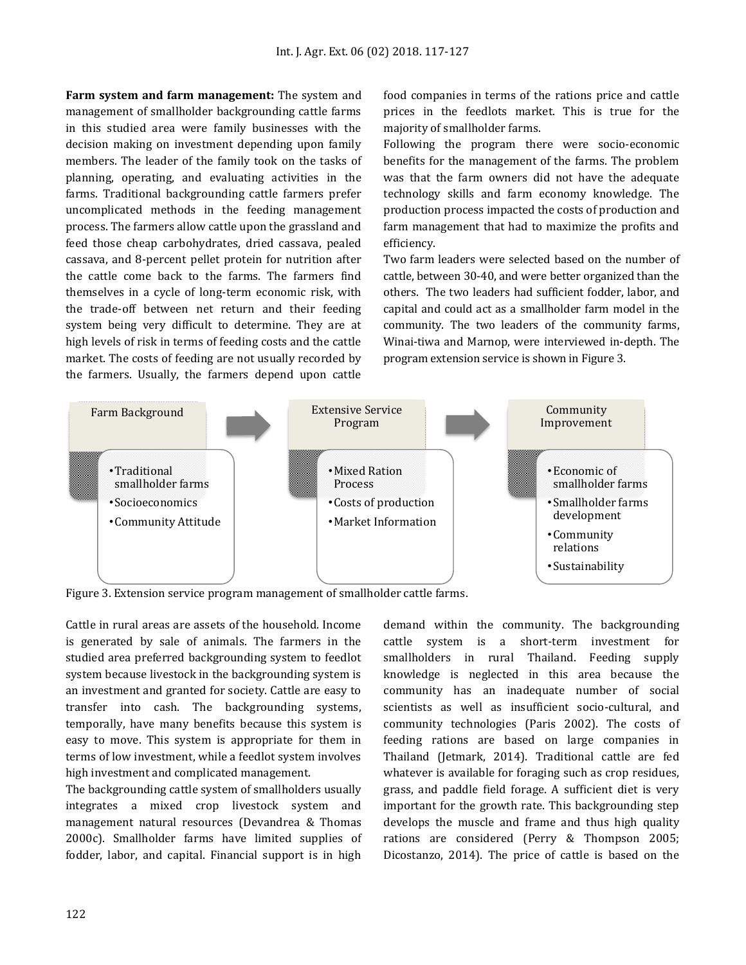**Farm system and farm management:** The system and management of smallholder backgrounding cattle farms in this studied area were family businesses with the decision making on investment depending upon family members. The leader of the family took on the tasks of planning, operating, and evaluating activities in the farms. Traditional backgrounding cattle farmers prefer uncomplicated methods in the feeding management process. The farmers allow cattle upon the grassland and feed those cheap carbohydrates, dried cassava, pealed cassava, and 8-percent pellet protein for nutrition after the cattle come back to the farms. The farmers find themselves in a cycle of long-term economic risk, with the trade-off between net return and their feeding system being very difficult to determine. They are at high levels of risk in terms of feeding costs and the cattle market. The costs of feeding are not usually recorded by the farmers. Usually, the farmers depend upon cattle food companies in terms of the rations price and cattle prices in the feedlots market. This is true for the majority of smallholder farms.

Following the program there were socio-economic benefits for the management of the farms. The problem was that the farm owners did not have the adequate technology skills and farm economy knowledge. The production process impacted the costs of production and farm management that had to maximize the profits and efficiency.

Two farm leaders were selected based on the number of cattle, between 30-40, and were better organized than the others. The two leaders had sufficient fodder, labor, and capital and could act as a smallholder farm model in the community. The two leaders of the community farms, Winai-tiwa and Marnop, were interviewed in-depth. The program extension service is shown in Figure 3.



Figure 3. Extension service program management of smallholder cattle farms.

Cattle in rural areas are assets of the household. Income is generated by sale of animals. The farmers in the studied area preferred backgrounding system to feedlot system because livestock in the backgrounding system is an investment and granted for society. Cattle are easy to transfer into cash. The backgrounding systems, temporally, have many benefits because this system is easy to move. This system is appropriate for them in terms of low investment, while a feedlot system involves high investment and complicated management.

The backgrounding cattle system of smallholders usually integrates a mixed crop livestock system and management natural resources (Devandrea & Thomas 2000c). Smallholder farms have limited supplies of fodder, labor, and capital. Financial support is in high

demand within the community. The backgrounding cattle system is a short-term investment for smallholders in rural Thailand. Feeding supply knowledge is neglected in this area because the community has an inadequate number of social scientists as well as insufficient socio-cultural, and community technologies (Paris 2002). The costs of feeding rations are based on large companies in Thailand (Jetmark, 2014). Traditional cattle are fed whatever is available for foraging such as crop residues, grass, and paddle field forage. A sufficient diet is very important for the growth rate. This backgrounding step develops the muscle and frame and thus high quality rations are considered (Perry & Thompson 2005; Dicostanzo, 2014). The price of cattle is based on the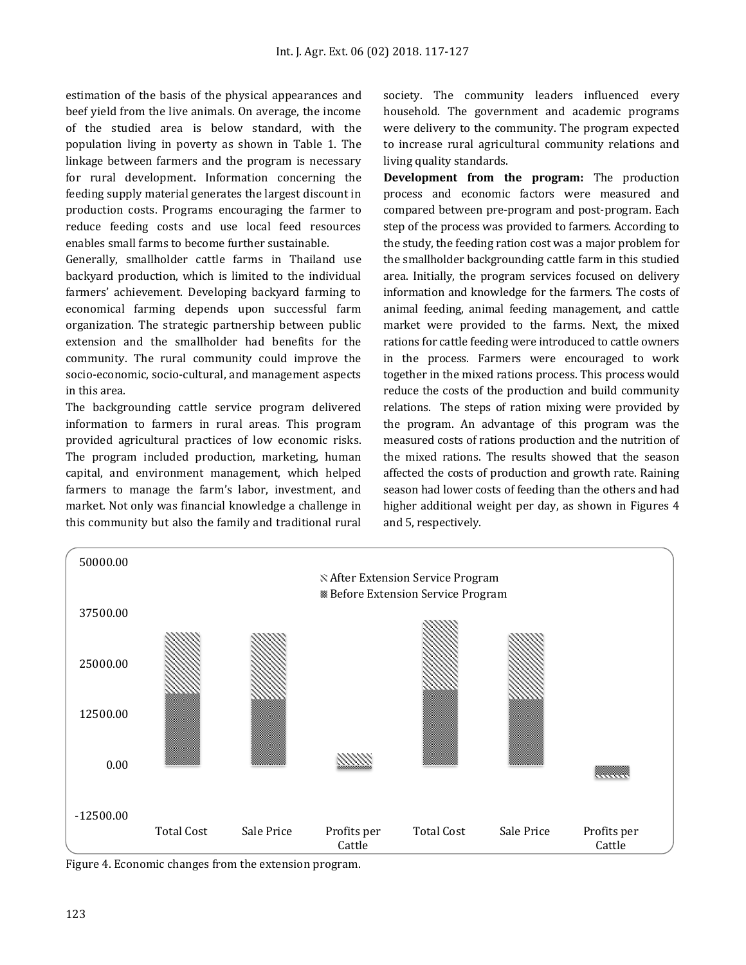estimation of the basis of the physical appearances and beef yield from the live animals. On average, the income of the studied area is below standard, with the population living in poverty as shown in Table 1. The linkage between farmers and the program is necessary for rural development. Information concerning the feeding supply material generates the largest discount in production costs. Programs encouraging the farmer to reduce feeding costs and use local feed resources enables small farms to become further sustainable.

Generally, smallholder cattle farms in Thailand use backyard production, which is limited to the individual farmers' achievement. Developing backyard farming to economical farming depends upon successful farm organization. The strategic partnership between public extension and the smallholder had benefits for the community. The rural community could improve the socio-economic, socio-cultural, and management aspects in this area.

The backgrounding cattle service program delivered information to farmers in rural areas. This program provided agricultural practices of low economic risks. The program included production, marketing, human capital, and environment management, which helped farmers to manage the farm's labor, investment, and market. Not only was financial knowledge a challenge in this community but also the family and traditional rural

society. The community leaders influenced every household. The government and academic programs were delivery to the community. The program expected to increase rural agricultural community relations and living quality standards.

**Development from the program:** The production process and economic factors were measured and compared between pre-program and post-program. Each step of the process was provided to farmers. According to the study, the feeding ration cost was a major problem for the smallholder backgrounding cattle farm in this studied area. Initially, the program services focused on delivery information and knowledge for the farmers. The costs of animal feeding, animal feeding management, and cattle market were provided to the farms. Next, the mixed rations for cattle feeding were introduced to cattle owners in the process. Farmers were encouraged to work together in the mixed rations process. This process would reduce the costs of the production and build community relations. The steps of ration mixing were provided by the program. An advantage of this program was the measured costs of rations production and the nutrition of the mixed rations. The results showed that the season affected the costs of production and growth rate. Raining season had lower costs of feeding than the others and had higher additional weight per day, as shown in Figures 4 and 5, respectively.



Figure 4. Economic changes from the extension program.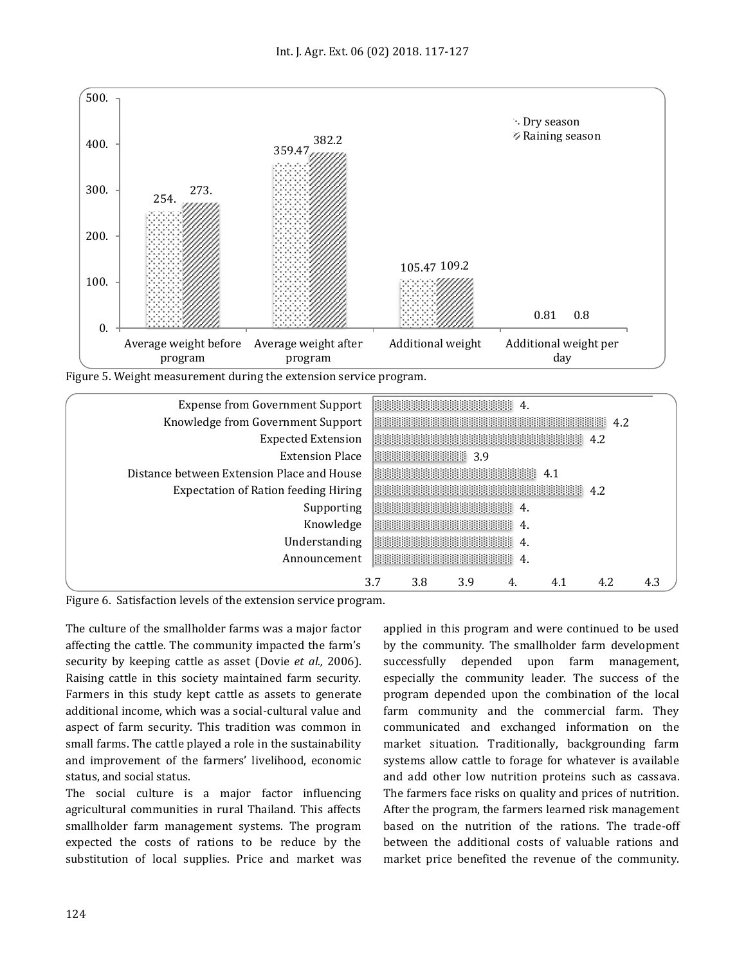

| <b>Expense from Government Support</b>      |     | <b>1999-1999-1999-1999-1999-1-1</b> 4 |     |                                                                                                                      |     |     |     |
|---------------------------------------------|-----|---------------------------------------|-----|----------------------------------------------------------------------------------------------------------------------|-----|-----|-----|
| Knowledge from Government Support           |     |                                       |     | <b>BERGER BERGER BERGER AND ALL</b>                                                                                  |     |     |     |
| <b>Expected Extension</b>                   |     |                                       |     | <u> 1999 - Andrea Brandel, prima a prima de la provincia de la provincia de la provincia de la prima de la prima</u> |     |     |     |
| <b>Extension Place</b>                      |     |                                       |     |                                                                                                                      |     |     |     |
| Distance between Extension Place and House  |     |                                       |     | <b>1999-1999-1999-1999-1999</b> 4.1                                                                                  |     |     |     |
| <b>Expectation of Ration feeding Hiring</b> |     |                                       |     | <b>Bestehen Berger aus der Statten der Statten der Statten der Statten der Statten der Statten der Sta</b>           |     |     |     |
| Supporting                                  |     |                                       |     |                                                                                                                      |     |     |     |
| Knowledge                                   |     | <b>1999-1999-1999-1999-1999-1-1-0</b> |     |                                                                                                                      |     |     |     |
| Understanding                               |     | <b>BOOK AND A SECOND ACTION A</b>     |     |                                                                                                                      |     |     |     |
| Announcement                                |     | 1999-1999-1999-1999-1999-1            |     |                                                                                                                      |     |     |     |
|                                             | 3.7 | 3.8                                   | 3.9 |                                                                                                                      | 4.1 | 4.2 | 4.3 |

Figure 6. Satisfaction levels of the extension service program.

The culture of the smallholder farms was a major factor affecting the cattle. The community impacted the farm's security by keeping cattle as asset (Dovie *et al.,* 2006). Raising cattle in this society maintained farm security. Farmers in this study kept cattle as assets to generate additional income, which was a social-cultural value and aspect of farm security. This tradition was common in small farms. The cattle played a role in the sustainability and improvement of the farmers' livelihood, economic status, and social status.

The social culture is a major factor influencing agricultural communities in rural Thailand. This affects smallholder farm management systems. The program expected the costs of rations to be reduce by the substitution of local supplies. Price and market was applied in this program and were continued to be used by the community. The smallholder farm development successfully depended upon farm management, especially the community leader. The success of the program depended upon the combination of the local farm community and the commercial farm. They communicated and exchanged information on the market situation. Traditionally, backgrounding farm systems allow cattle to forage for whatever is available and add other low nutrition proteins such as cassava. The farmers face risks on quality and prices of nutrition. After the program, the farmers learned risk management based on the nutrition of the rations. The trade-off between the additional costs of valuable rations and market price benefited the revenue of the community.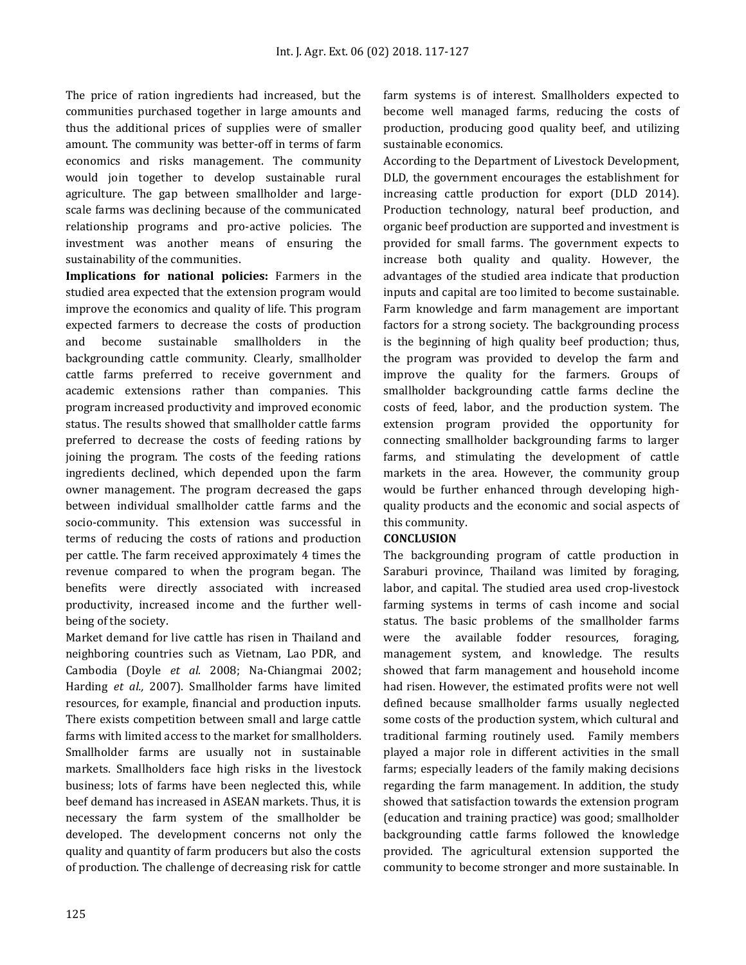The price of ration ingredients had increased, but the communities purchased together in large amounts and thus the additional prices of supplies were of smaller amount. The community was better-off in terms of farm economics and risks management. The community would join together to develop sustainable rural agriculture. The gap between smallholder and largescale farms was declining because of the communicated relationship programs and pro-active policies. The investment was another means of ensuring the sustainability of the communities.

**Implications for national policies:** Farmers in the studied area expected that the extension program would improve the economics and quality of life. This program expected farmers to decrease the costs of production and become sustainable smallholders in the backgrounding cattle community. Clearly, smallholder cattle farms preferred to receive government and academic extensions rather than companies. This program increased productivity and improved economic status. The results showed that smallholder cattle farms preferred to decrease the costs of feeding rations by joining the program. The costs of the feeding rations ingredients declined, which depended upon the farm owner management. The program decreased the gaps between individual smallholder cattle farms and the socio-community. This extension was successful in terms of reducing the costs of rations and production per cattle. The farm received approximately 4 times the revenue compared to when the program began. The benefits were directly associated with increased productivity, increased income and the further wellbeing of the society.

Market demand for live cattle has risen in Thailand and neighboring countries such as Vietnam, Lao PDR, and Cambodia (Doyle *et al.* 2008; Na-Chiangmai 2002; Harding *et al.,* 2007). Smallholder farms have limited resources, for example, financial and production inputs. There exists competition between small and large cattle farms with limited access to the market for smallholders. Smallholder farms are usually not in sustainable markets. Smallholders face high risks in the livestock business; lots of farms have been neglected this, while beef demand has increased in ASEAN markets. Thus, it is necessary the farm system of the smallholder be developed. The development concerns not only the quality and quantity of farm producers but also the costs of production. The challenge of decreasing risk for cattle farm systems is of interest. Smallholders expected to become well managed farms, reducing the costs of production, producing good quality beef, and utilizing sustainable economics.

According to the Department of Livestock Development, DLD, the government encourages the establishment for increasing cattle production for export (DLD 2014). Production technology, natural beef production, and organic beef production are supported and investment is provided for small farms. The government expects to increase both quality and quality. However, the advantages of the studied area indicate that production inputs and capital are too limited to become sustainable. Farm knowledge and farm management are important factors for a strong society. The backgrounding process is the beginning of high quality beef production; thus, the program was provided to develop the farm and improve the quality for the farmers. Groups of smallholder backgrounding cattle farms decline the costs of feed, labor, and the production system. The extension program provided the opportunity for connecting smallholder backgrounding farms to larger farms, and stimulating the development of cattle markets in the area. However, the community group would be further enhanced through developing highquality products and the economic and social aspects of this community.

## **CONCLUSION**

The backgrounding program of cattle production in Saraburi province, Thailand was limited by foraging, labor, and capital. The studied area used crop-livestock farming systems in terms of cash income and social status. The basic problems of the smallholder farms were the available fodder resources, foraging, management system, and knowledge. The results showed that farm management and household income had risen. However, the estimated profits were not well defined because smallholder farms usually neglected some costs of the production system, which cultural and traditional farming routinely used. Family members played a major role in different activities in the small farms; especially leaders of the family making decisions regarding the farm management. In addition, the study showed that satisfaction towards the extension program (education and training practice) was good; smallholder backgrounding cattle farms followed the knowledge provided. The agricultural extension supported the community to become stronger and more sustainable. In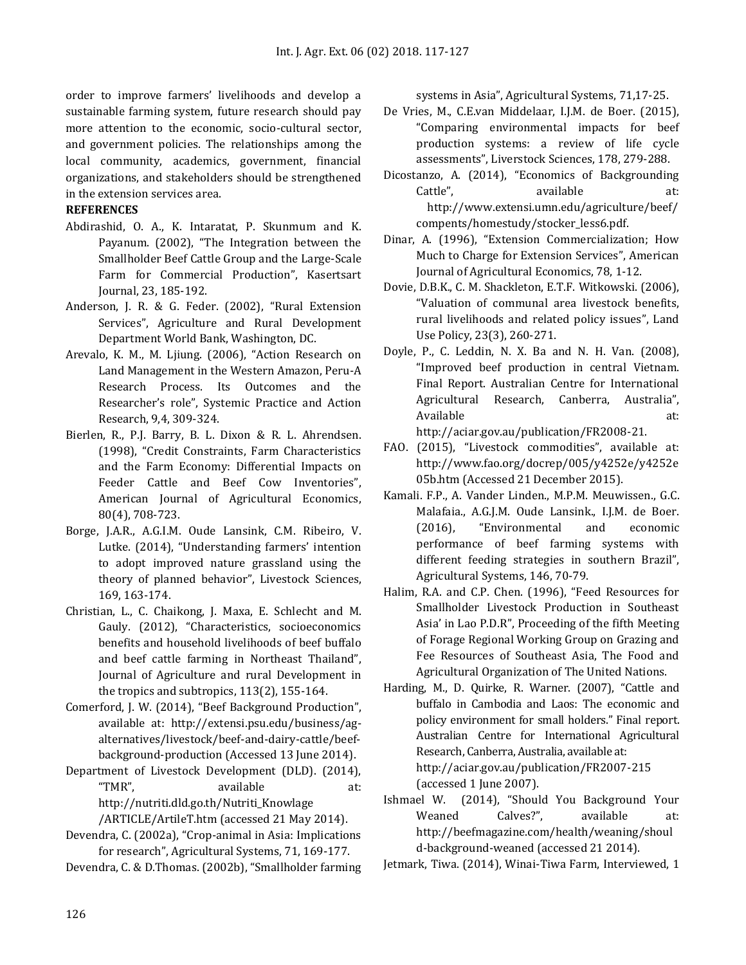order to improve farmers' livelihoods and develop a sustainable farming system, future research should pay more attention to the economic, socio-cultural sector, and government policies. The relationships among the local community, academics, government, financial organizations, and stakeholders should be strengthened in the extension services area.

### **REFERENCES**

- Abdirashid, O. A., K. Intaratat, P. Skunmum and K. Payanum. (2002), "The Integration between the Smallholder Beef Cattle Group and the Large-Scale Farm for Commercial Production", Kasertsart Journal, 23, 185-192.
- Anderson, J. R. & G. Feder. (2002), "Rural Extension Services", Agriculture and Rural Development Department World Bank, Washington, DC.
- Arevalo, K. M., M. Ljiung. (2006), "Action Research on Land Management in the Western Amazon, Peru-A Research Process. Its Outcomes and the Researcher's role", Systemic Practice and Action Research, 9,4, 309-324.
- Bierlen, R., P.J. Barry, B. L. Dixon & R. L. Ahrendsen. (1998), "Credit Constraints, Farm Characteristics and the Farm Economy: Differential Impacts on Feeder Cattle and Beef Cow Inventories", American Journal of Agricultural Economics, 80(4), 708-723.
- Borge, J.A.R., A.G.I.M. Oude Lansink, C.M. Ribeiro, V. Lutke. (2014), "Understanding farmers' intention to adopt improved nature grassland using the theory of planned behavior", Livestock Sciences, 169, 163-174.
- Christian, L., C. Chaikong, J. Maxa, E. Schlecht and M. Gauly. (2012), "Characteristics, socioeconomics benefits and household livelihoods of beef buffalo and beef cattle farming in Northeast Thailand", Journal of Agriculture and rural Development in the tropics and subtropics, 113(2), 155-164.
- Comerford, J. W. (2014), "Beef Background Production", available at: http://extensi.psu.edu[/business/ag](http://extensi.psu.edu/business/ag-alternatives/livestock/beef-and-dairy-cattle/beef-background-production)[alternatives/livestock/beef-and-dairy-cattle/beef](http://extensi.psu.edu/business/ag-alternatives/livestock/beef-and-dairy-cattle/beef-background-production)[background-production](http://extensi.psu.edu/business/ag-alternatives/livestock/beef-and-dairy-cattle/beef-background-production) (Accessed 13 June 2014).
- Department of Livestock Development (DLD). (2014), "TMR", available at: [http://nutriti.dld.go.th/Nutriti\\_Knowlage](http://nutrition.dld.go.th/Nutrition_Knowlage%2520/ARTICLE/ArtileT.htm)  [/ARTICLE/ArtileT.htm](http://nutrition.dld.go.th/Nutrition_Knowlage%2520/ARTICLE/ArtileT.htm) (accessed 21 May 2014).
- Devendra, C. (2002a), "Crop-animal in Asia: Implications for research", Agricultural Systems, 71, 169-177.
- Devendra, C. & D.Thomas. (2002b), "Smallholder farming

systems in Asia", Agricultural Systems, 71,17-25.

- De Vries, M., C.E.van Middelaar, I.J.M. de Boer. (2015), "Comparing environmental impacts for beef production systems: a review of life cycle assessments", Liverstock Sciences, 178, 279-288.
- Dicostanzo, A. (2014), "Economics of Backgrounding Cattle", available at: http://www.extensi.umn.edu/agriculture/beef/ compents/homestudy/stocker\_less6.pdf.
- Dinar, A. (1996), "Extension Commercialization; How Much to Charge for Extension Services", American Journal of Agricultural Economics, 78, 1-12.
- Dovie, D.B.K., C. M. Shackleton, E.T.F. Witkowski. (2006), "Valuation of communal area livestock benefits, rural livelihoods and related policy issues", Land Use Policy, 23(3), 260-271.
- Doyle, P., C. Leddin, N. X. Ba and N. H. Van. (2008), "Improved beef production in central Vietnam. Final Report. Australian Centre for International Agricultural Research, Canberra, Australia", Available at: at: [http://aciar.gov.au/publication/FR2008-21.](http://aciar.gov.au/publication/FR2008-21)
- FAO. (2015), "Livestock commodities", available at: http://www.fao.org/docrep/005/y4252e/y4252e 05b.htm (Accessed 21 December 2015).
- Kamali. F.P., A. Vander Linden., M.P.M. Meuwissen., G.C. Malafaia., A.G.J.M. Oude Lansink., I.J.M. de Boer. (2016), "Environmental and economic performance of beef farming systems with different feeding strategies in southern Brazil", Agricultural Systems, 146, 70-79.
- Halim, R.A. and C.P. Chen. (1996), "Feed Resources for Smallholder Livestock Production in Southeast Asia' in Lao P.D.R", Proceeding of the fifth Meeting of Forage Regional Working Group on Grazing and Fee Resources of Southeast Asia, The Food and Agricultural Organization of The United Nations.
- Harding, M., D. Quirke, R. Warner. (2007), "Cattle and buffalo in Cambodia and Laos: The economic and policy environment for small holders." Final report. Australian Centre for International Agricultural Research, Canberra, Australia, available at: <http://aciar.gov.au/publication/FR2007-215> (accessed 1 June 2007).
- Ishmael W. (2014), "Should You Background Your Weaned Calves?", available at: [http://beefmagazine.com/health/weaning/shoul](http://beefmagazine.com/health/weaning/should-background-weaned) [d-background-weaned](http://beefmagazine.com/health/weaning/should-background-weaned) (accessed 21 2014).

Jetmark, Tiwa. (2014), Winai-Tiwa Farm, Interviewed, 1